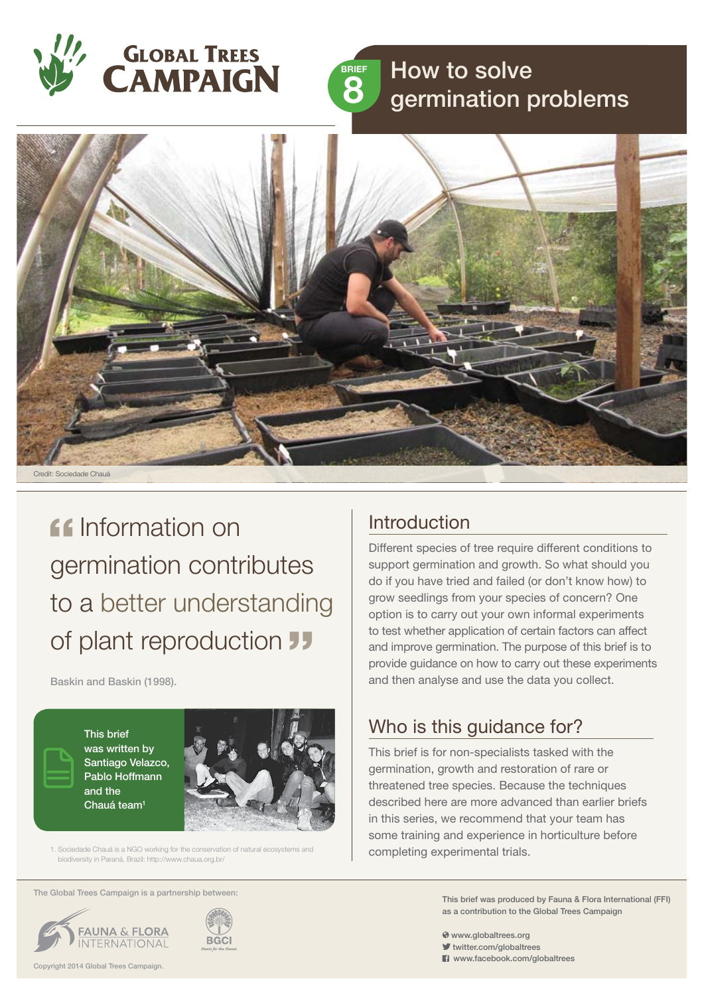



# How to solve germination problems



**If Information on** germination contributes to a better understanding of plant reproduction **JJ** 

Baskin and Baskin (1998).

This brief was written by Santiago Velazco, Pablo Hoffmann and the Chauá team<sup>1</sup>



1. Sociedade Chauá is a NGO working for the conservation of natural ecosystems and biodiversity in Paraná, Brazil: http://www.chaua.org.br/

The Global Trees Campaign is a partnership between:





### **Introduction**

Different species of tree require different conditions to support germination and growth. So what should you do if you have tried and failed (or don't know how) to grow seedlings from your species of concern? One option is to carry out your own informal experiments to test whether application of certain factors can affect and improve germination. The purpose of this brief is to provide guidance on how to carry out these experiments and then analyse and use the data you collect.

# Who is this guidance for?

This brief is for non-specialists tasked with the germination, growth and restoration of rare or threatened tree species. Because the techniques described here are more advanced than earlier briefs in this series, we recommend that your team has some training and experience in horticulture before completing experimental trials.

> This brief was produced by Fauna & Flora International (FFI) as a contribution to the Global Trees Campaign

www.globaltrees.org

- twitter.com/globaltrees
- **El** www.facebook.com/globaltrees

Copyright 2014 Global Trees Campaign.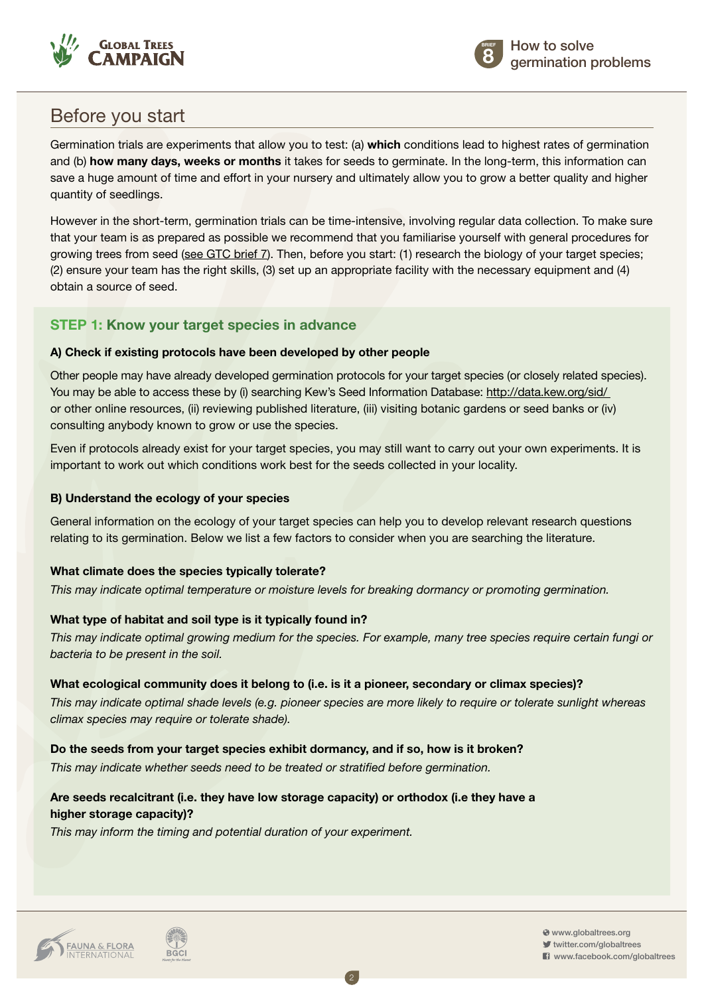



## Before you start

Germination trials are experiments that allow you to test: (a) **which** conditions lead to highest rates of germination and (b) **how many days, weeks or months** it takes for seeds to germinate. In the long-term, this information can save a huge amount of time and effort in your nursery and ultimately allow you to grow a better quality and higher quantity of seedlings.

However in the short-term, germination trials can be time-intensive, involving regular data collection. To make sure that your team is as prepared as possible we recommend that you familiarise yourself with general procedures for growing trees from seed [\(see GTC brief 7](http://globaltrees.org/wp-content/uploads/2014/01/Brief-7-basic-germination-seedling-growth.pdf)). Then, before you start: (1) research the biology of your target species; (2) ensure your team has the right skills, (3) set up an appropriate facility with the necessary equipment and (4) obtain a source of seed.

### **Step 1: Know your target species in advance**

### **A) Check if existing protocols have been developed by other people**

Other people may have already developed germination protocols for your target species (or closely related species). You may be able to access these by (i) searching Kew's Seed Information Database: http://data.kew.org/sid/ or other online resources, (ii) reviewing published literature, (iii) visiting botanic gardens or seed banks or (iv) consulting anybody known to grow or use the species.

Even if protocols already exist for your target species, you may still want to carry out your own experiments. It is important to work out which conditions work best for the seeds collected in your locality.

### **B) Understand the ecology of your species**

General information on the ecology of your target species can help you to develop relevant research questions relating to its germination. Below we list a few factors to consider when you are searching the literature.

### **What climate does the species typically tolerate?**

*This may indicate optimal temperature or moisture levels for breaking dormancy or promoting germination.*

### **What type of habitat and soil type is it typically found in?**

*This may indicate optimal growing medium for the species. For example, many tree species require certain fungi or bacteria to be present in the soil.*

### **What ecological community does it belong to (i.e. is it a pioneer, secondary or climax species)?**

*This may indicate optimal shade levels (e.g. pioneer species are more likely to require or tolerate sunlight whereas climax species may require or tolerate shade).*

2

### **Do the seeds from your target species exhibit dormancy, and if so, how is it broken?**

*This may indicate whether seeds need to be treated or stratified before germination.*

### **Are seeds recalcitrant (i.e. they have low storage capacity) or orthodox (i.e they have a higher storage capacity)?**

*This may inform the timing and potential duration of your experiment.*



 $\diamond$  www.globaltrees.org twitter.com/globaltrees **El** www.facebook.com/globaltrees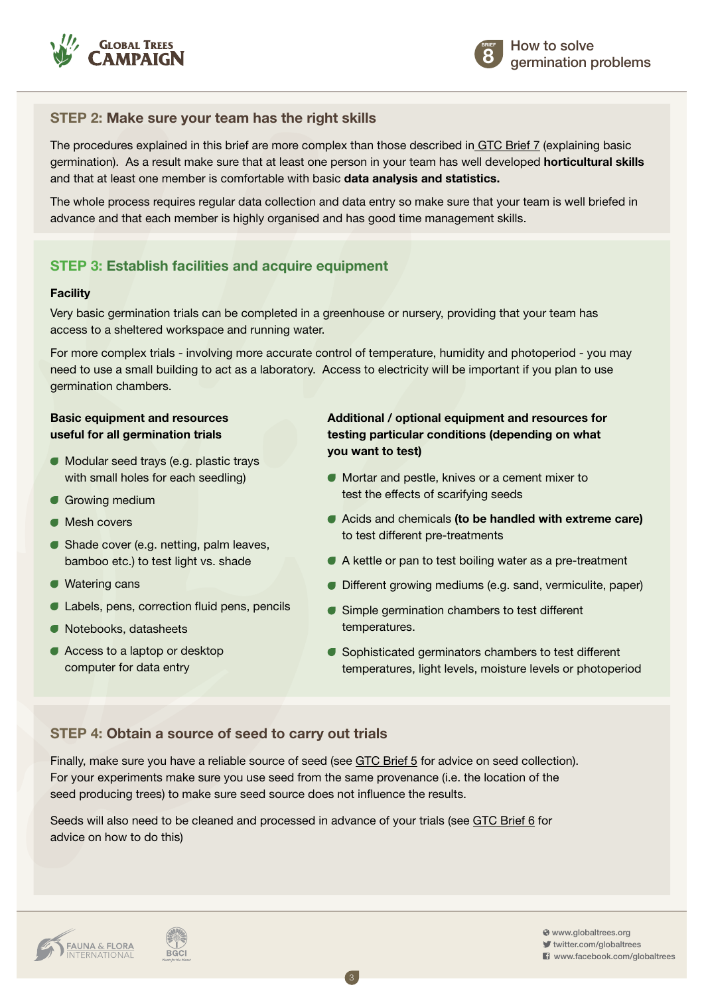



### **Step 2: Make sure your team has the right skills**

The procedures explained in this brief are more complex than those described in GTC [Brief 7](http://globaltrees.org/wp-content/uploads/2014/01/Brief-7-basic-germination-seedling-growth.pdf) (explaining basic germination). As a result make sure that at least one person in your team has well developed **horticultural skills** and that at least one member is comfortable with basic **data analysis and statistics.**

The whole process requires regular data collection and data entry so make sure that your team is well briefed in advance and that each member is highly organised and has good time management skills.

### **Step 3: Establish facilities and acquire equipment**

#### **Facility**

Very basic germination trials can be completed in a greenhouse or nursery, providing that your team has access to a sheltered workspace and running water.

For more complex trials - involving more accurate control of temperature, humidity and photoperiod - you may need to use a small building to act as a laboratory. Access to electricity will be important if you plan to use germination chambers.

#### **Basic equipment and resources useful for all germination trials**

- **Modular seed trays (e.g. plastic trays** with small holes for each seedling)
- Growing medium
- **Mesh covers**
- **Shade cover (e.g. netting, palm leaves,** bamboo etc.) to test light vs. shade
- Watering cans
- Labels, pens, correction fluid pens, pencils
- Notebooks, datasheets
- Access to a laptop or desktop computer for data entry

### **Additional / optional equipment and resources for testing particular conditions (depending on what you want to test)**

- Mortar and pestle, knives or a cement mixer to test the effects of scarifying seeds
- Acids and chemicals **(to be handled with extreme care)**  to test different pre-treatments
- A kettle or pan to test boiling water as a pre-treatment
- **Different growing mediums (e.g. sand, vermiculite, paper)**
- Simple germination chambers to test different temperatures.
- Sophisticated germinators chambers to test different temperatures, light levels, moisture levels or photoperiod

### **Step 4: Obtain a source of seed to carry out trials**

Finally, make sure you have a reliable source of seed (see [GTC Brief 5](http://globaltrees.org/wp-content/uploads/2014/01/Brief-5-Collecting-seeds-threatened-trees.pdf) for advice on seed collection). For your experiments make sure you use seed from the same provenance (i.e. the location of the seed producing trees) to make sure seed source does not influence the results.

3

Seeds will also need to be cleaned and processed in advance of your trials (see [GTC Brief 6](http://globaltrees.org/wp-content/uploads/2014/01/Brief-6-Storing-seeds-preparing-for-germination.pdf) for advice on how to do this)



 www.globaltrees.org twitter.com/globaltrees **El** www.facebook.com/globaltrees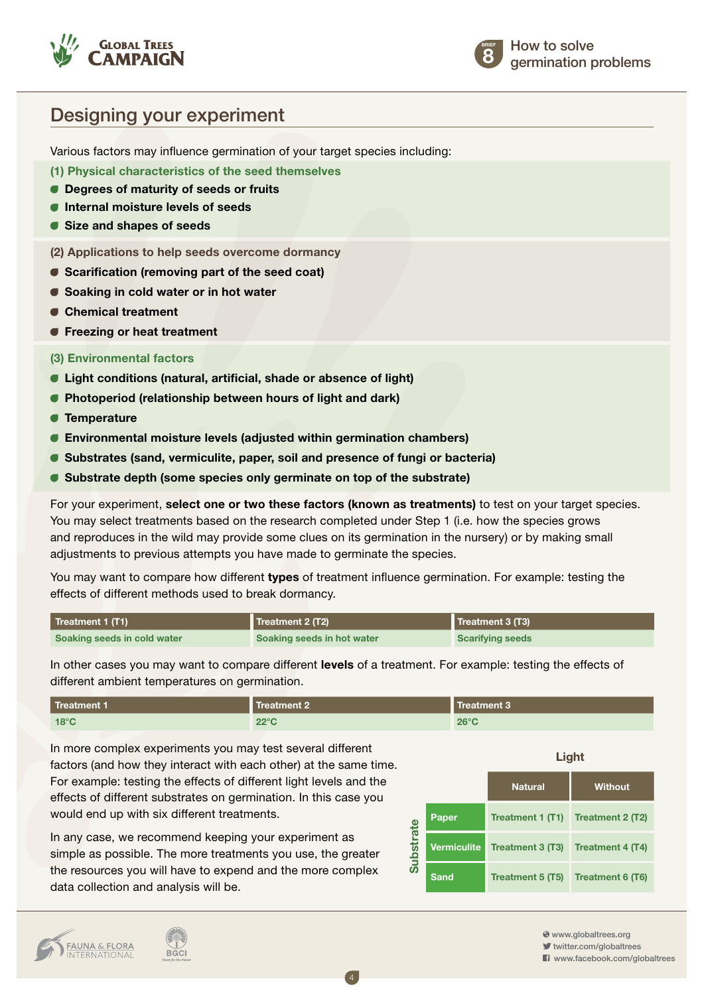



### Designing your experiment

Various factors may influence germination of your target species including:

**(1) Physical characteristics of the seed themselves**

- **Degrees of maturity of seeds or fruits**
- **Internal moisture levels of seeds**
- **Size and shapes of seeds**

**(2) Applications to help seeds overcome dormancy**

- **Scarification (removing part of the seed coat)**
- **Soaking in cold water or in hot water**
- **Chemical treatment**
- *<b>•* Freezing or heat treatment

#### **(3) Environmental factors**

- **Light conditions (natural, artificial, shade or absence of light)**
- **Photoperiod (relationship between hours of light and dark)**
- **Temperature**
- **Environmental moisture levels (adjusted within germination chambers)**
- **Substrates (sand, vermiculite, paper, soil and presence of fungi or bacteria)**
- **Substrate depth (some species only germinate on top of the substrate)**

For your experiment, **select one or two these factors (known as treatments)** to test on your target species. You may select treatments based on the research completed under Step 1 (i.e. how the species grows and reproduces in the wild may provide some clues on its germination in the nursery) or by making small adjustments to previous attempts you have made to germinate the species.

You may want to compare how different **types** of treatment influence germination. For example: testing the effects of different methods used to break dormancy.

| Treatment 1 (T1)            | Treatment 2 (T2)           | Treatment 3 (T3)        |
|-----------------------------|----------------------------|-------------------------|
| Soaking seeds in cold water | Soaking seeds in hot water | <b>Scarifying seeds</b> |

In other cases you may want to compare different **levels** of a treatment. For example: testing the effects of different ambient temperatures on germination.

| Treatment 1    | <b>Treatment 2</b> | Treatment 3    |
|----------------|--------------------|----------------|
| $18^{\circ}$ C | $22^{\circ}$ C     | $26^{\circ}$ C |

In more complex experiments you may test several different factors (and how they interact with each other) at the same time. For example: testing the effects of different light levels and the effects of different substrates on germination. In this case you would end up with six different treatments.

In any case, we recommend keeping your experiment as simple as possible. The more treatments you use, the greater the resources you will have to expend and the more complex data collection and analysis will be.

|                  |                    | Light            |                  |  |
|------------------|--------------------|------------------|------------------|--|
|                  |                    | <b>Natural</b>   | <b>Without</b>   |  |
|                  | Paper              | Treatment 1 (T1) | Treatment 2 (T2) |  |
| <b>Substrate</b> | <b>Vermiculite</b> | Treatment 3 (T3) | Treatment 4 (T4) |  |
|                  | <b>Sand</b>        | Treatment 5 (T5) | Treatment 6 (T6) |  |



**BGCI** 

www.globaltrees.org

twitter.com/globaltrees **El** www.facebook.com/globaltrees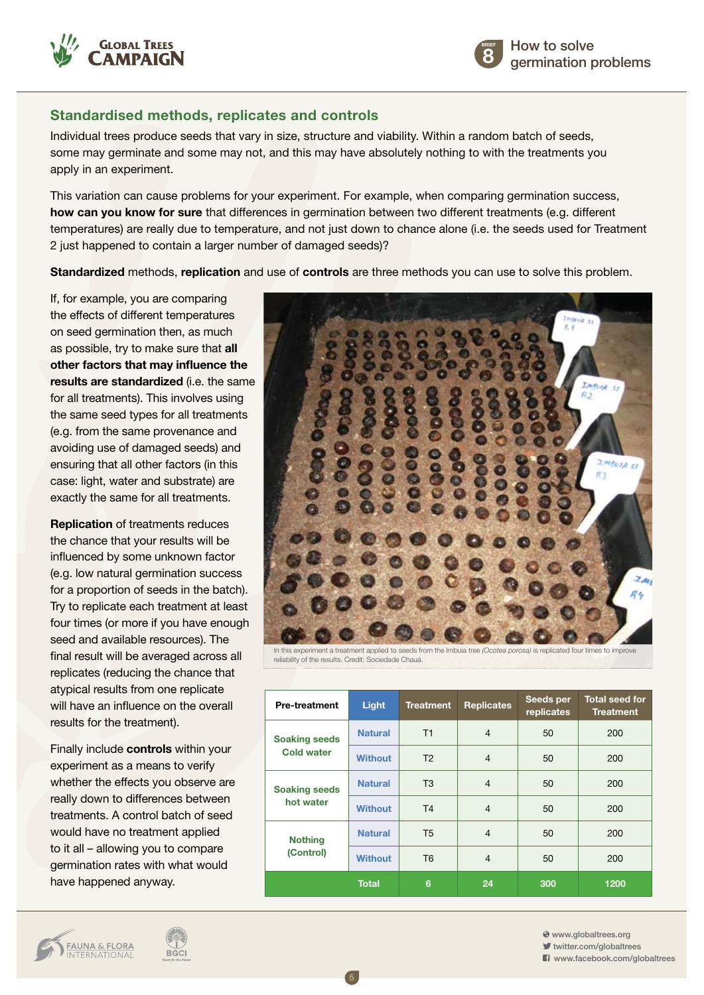



### **Standardised methods, replicates and controls**

Individual trees produce seeds that vary in size, structure and viability. Within a random batch of seeds, some may germinate and some may not, and this may have absolutely nothing to with the treatments you apply in an experiment.

This variation can cause problems for your experiment. For example, when comparing germination success, **how can you know for sure** that differences in germination between two different treatments (e.g. different temperatures) are really due to temperature, and not just down to chance alone (i.e. the seeds used for Treatment 2 just happened to contain a larger number of damaged seeds)?

**Standardized** methods, **replication** and use of **controls** are three methods you can use to solve this problem.

If, for example, you are comparing the effects of different temperatures on seed germination then, as much as possible, try to make sure that **all other factors that may influence the results are standardized** (i.e. the same for all treatments). This involves using the same seed types for all treatments (e.g. from the same provenance and avoiding use of damaged seeds) and ensuring that all other factors (in this case: light, water and substrate) are exactly the same for all treatments.

**Replication** of treatments reduces the chance that your results will be influenced by some unknown factor (e.g. low natural germination success for a proportion of seeds in the batch). Try to replicate each treatment at least four times (or more if you have enough seed and available resources). The final result will be averaged across all replicates (reducing the chance that atypical results from one replicate will have an influence on the overall results for the treatment).

Finally include **controls** within your experiment as a means to verify whether the effects you observe are really down to differences between treatments. A control batch of seed would have no treatment applied to it all – allowing you to compare germination rates with what would have happened anyway.

**BGCI** 

**FAUNA & FLORA**<br>INTERNATIONAL



In this experiment a treatment applied to seeds from the Imbuia tree *(Ocotea porosa)* is replicated four times to improve reliability of the results. Credit: Sociedade Chauá.

| <b>Pre-treatment</b>                      | Light          | <b>Treatment</b> | <b>Replicates</b> | Seeds per<br>replicates | <b>Total seed for</b><br><b>Treatment</b> |
|-------------------------------------------|----------------|------------------|-------------------|-------------------------|-------------------------------------------|
| <b>Soaking seeds</b><br><b>Cold water</b> | <b>Natural</b> | T1               | $\overline{4}$    | 50                      | 200                                       |
|                                           | <b>Without</b> | T <sub>2</sub>   | $\overline{4}$    | 50                      | 200                                       |
| <b>Soaking seeds</b><br>hot water         | <b>Natural</b> | T3               | $\overline{4}$    | 50                      | 200                                       |
|                                           | <b>Without</b> | T <sub>4</sub>   | $\overline{4}$    | 50                      | 200                                       |
| <b>Nothing</b><br>(Control)               | <b>Natural</b> | T <sub>5</sub>   | $\overline{4}$    | 50                      | 200                                       |
|                                           | <b>Without</b> | T <sub>6</sub>   | $\overline{4}$    | 50                      | 200                                       |
|                                           | <b>Total</b>   | 6                | 24                | 300                     | 1200                                      |

5

www.globaltrees.org

twitter.com/globaltrees

**El** www.facebook.com/globaltrees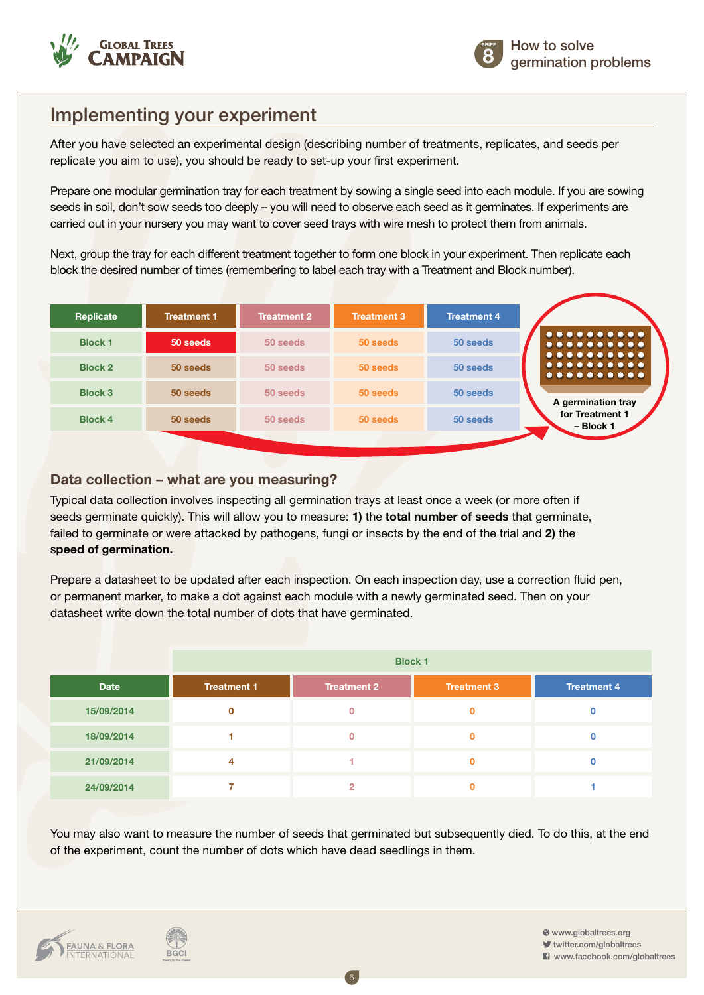



## Implementing your experiment

After you have selected an experimental design (describing number of treatments, replicates, and seeds per replicate you aim to use), you should be ready to set-up your first experiment.

Prepare one modular germination tray for each treatment by sowing a single seed into each module. If you are sowing seeds in soil, don't sow seeds too deeply – you will need to observe each seed as it germinates. If experiments are carried out in your nursery you may want to cover seed trays with wire mesh to protect them from animals.

Next, group the tray for each different treatment together to form one block in your experiment. Then replicate each block the desired number of times (remembering to label each tray with a Treatment and Block number).



### **Data collection – what are you measuring?**

Typical data collection involves inspecting all germination trays at least once a week (or more often if seeds germinate quickly). This will allow you to measure: **1)** the **total number of seeds** that germinate, failed to germinate or were attacked by pathogens, fungi or insects by the end of the trial and **2)** the s**peed of germination.**

Prepare a datasheet to be updated after each inspection. On each inspection day, use a correction fluid pen, or permanent marker, to make a dot against each module with a newly germinated seed. Then on your datasheet write down the total number of dots that have germinated.

|             | <b>Block 1</b>     |                    |                    |                    |
|-------------|--------------------|--------------------|--------------------|--------------------|
| <b>Date</b> | <b>Treatment 1</b> | <b>Treatment 2</b> | <b>Treatment 3</b> | <b>Treatment 4</b> |
| 15/09/2014  | 0                  |                    | $\mathbf 0$        |                    |
| 18/09/2014  |                    | n                  | $\mathbf 0$        |                    |
| 21/09/2014  | 4                  |                    | $\mathbf 0$        |                    |
| 24/09/2014  |                    | 2                  | $\mathbf 0$        |                    |

You may also want to measure the number of seeds that germinated but subsequently died. To do this, at the end of the experiment, count the number of dots which have dead seedlings in them.

6

**BGCI** 

 www.globaltrees.org twitter.com/globaltrees **El** www.facebook.com/globaltrees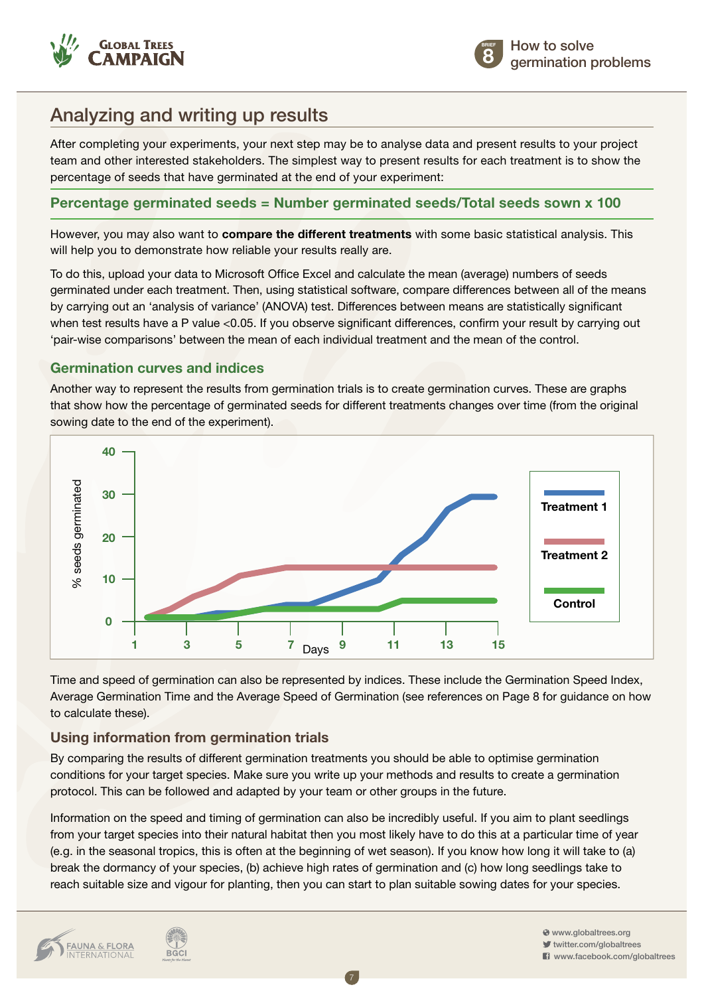



# Analyzing and writing up results

After completing your experiments, your next step may be to analyse data and present results to your project team and other interested stakeholders. The simplest way to present results for each treatment is to show the percentage of seeds that have germinated at the end of your experiment:

### **Percentage germinated seeds = Number germinated seeds/Total seeds sown x 100**

However, you may also want to **compare the different treatments** with some basic statistical analysis. This will help you to demonstrate how reliable your results really are.

To do this, upload your data to Microsoft Office Excel and calculate the mean (average) numbers of seeds germinated under each treatment. Then, using statistical software, compare differences between all of the means by carrying out an 'analysis of variance' (ANOVA) test. Differences between means are statistically significant when test results have a P value <0.05. If you observe significant differences, confirm your result by carrying out 'pair-wise comparisons' between the mean of each individual treatment and the mean of the control.

### **Germination curves and indices**

Another way to represent the results from germination trials is to create germination curves. These are graphs that show how the percentage of germinated seeds for different treatments changes over time (from the original sowing date to the end of the experiment).



Time and speed of germination can also be represented by indices. These include the Germination Speed Index, Average Germination Time and the Average Speed of Germination (see references on Page 8 for guidance on how to calculate these).

### **Using information from germination trials**

By comparing the results of different germination treatments you should be able to optimise germination conditions for your target species. Make sure you write up your methods and results to create a germination protocol. This can be followed and adapted by your team or other groups in the future.

Information on the speed and timing of germination can also be incredibly useful. If you aim to plant seedlings from your target species into their natural habitat then you most likely have to do this at a particular time of year (e.g. in the seasonal tropics, this is often at the beginning of wet season). If you know how long it will take to (a) break the dormancy of your species, (b) achieve high rates of germination and (c) how long seedlings take to

7